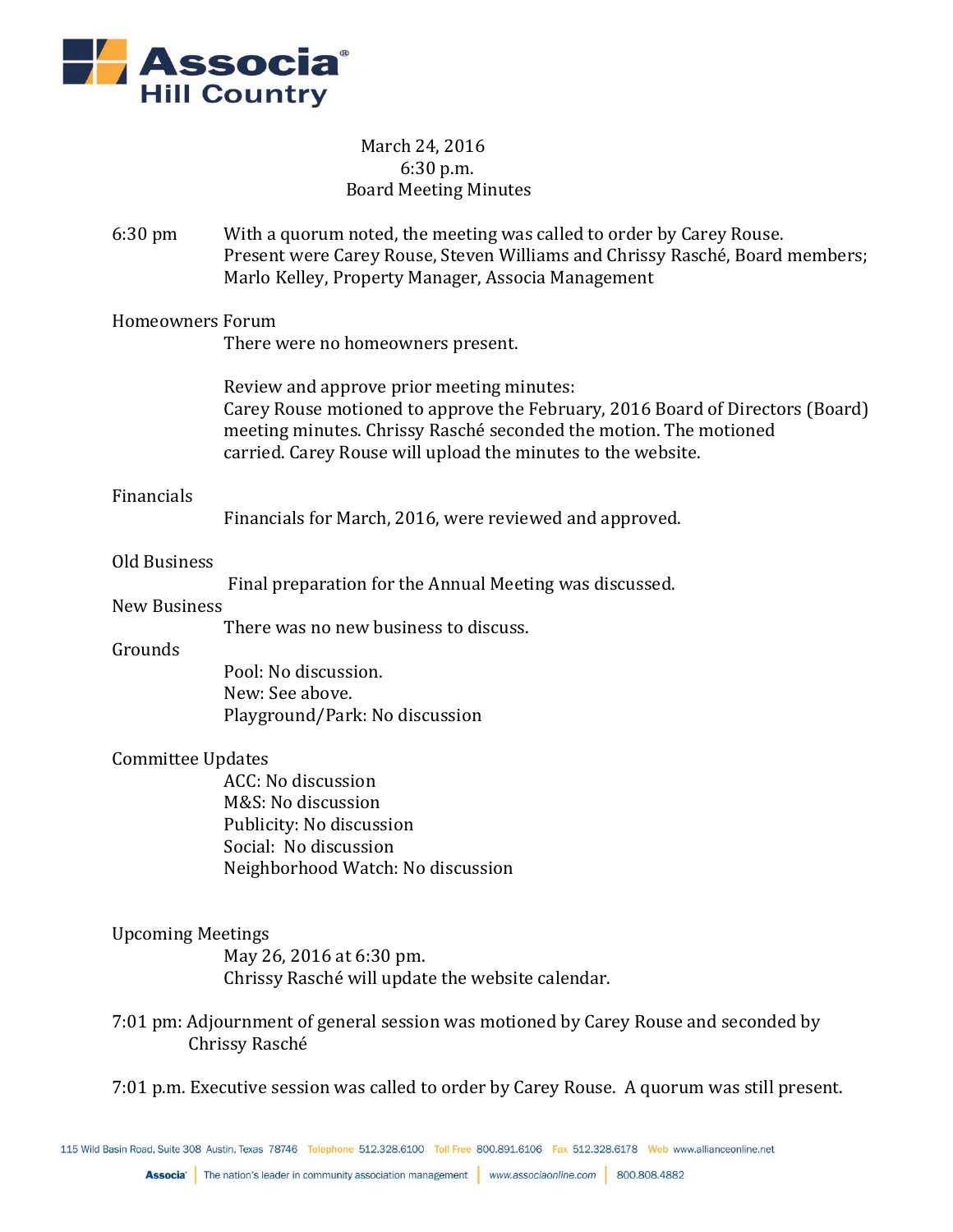

# March 24, 2016 6:30 p.m. Board Meeting Minutes

6:30 pm With a quorum noted, the meeting was called to order by Carey Rouse. Present were Carey Rouse, Steven Williams and Chrissy Rasché, Board members; Marlo Kelley, Property Manager, Associa Management

Homeowners Forum

There were no homeowners present.

Review and approve prior meeting minutes: Carey Rouse motioned to approve the February, 2016 Board of Directors (Board) meeting minutes. Chrissy Rasché seconded the motion. The motioned carried. Carey Rouse will upload the minutes to the website.

#### Financials

Financials for March, 2016, were reviewed and approved.

#### Old Business

Final preparation for the Annual Meeting was discussed.

## New Business

There was no new business to discuss.

#### Grounds

Pool: No discussion. New: See above. Playground/Park: No discussion

## Committee Updates

ACC: No discussion M&S: No discussion Publicity: No discussion Social: No discussion Neighborhood Watch: No discussion

## Upcoming Meetings

May 26, 2016 at 6:30 pm. Chrissy Rasché will update the website calendar.

7:01 pm: Adjournment of general session was motioned by Carey Rouse and seconded by Chrissy Rasché

7:01 p.m. Executive session was called to order by Carey Rouse. A quorum was still present.